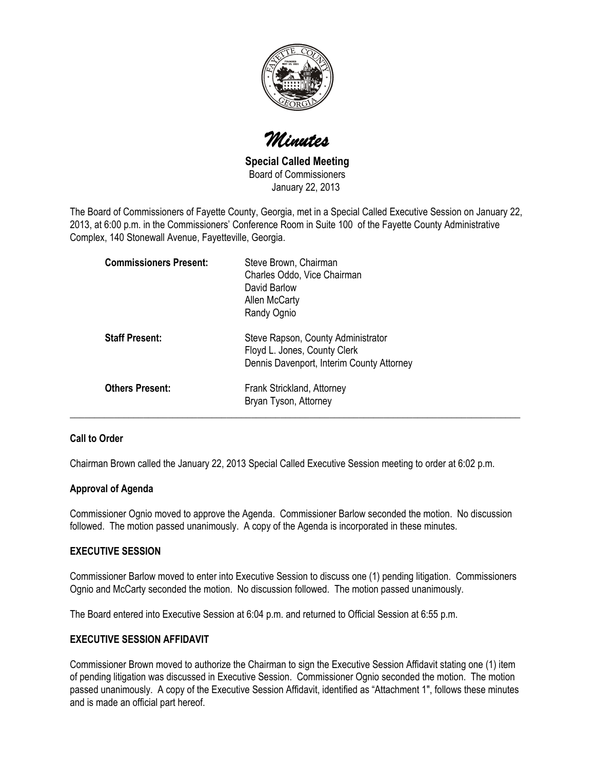

Minutes

Special Called Meeting Board of Commissioners January 22, 2013

The Board of Commissioners of Fayette County, Georgia, met in a Special Called Executive Session on January 22, 2013, at 6:00 p.m. in the Commissioners' Conference Room in Suite 100 of the Fayette County Administrative Complex, 140 Stonewall Avenue, Fayetteville, Georgia.

|                        | <b>Commissioners Present:</b> | Steve Brown, Chairman<br>Charles Oddo, Vice Chairman<br>David Barlow<br>Allen McCarty<br>Randy Ognio            |
|------------------------|-------------------------------|-----------------------------------------------------------------------------------------------------------------|
| <b>Staff Present:</b>  |                               | Steve Rapson, County Administrator<br>Floyd L. Jones, County Clerk<br>Dennis Davenport, Interim County Attorney |
| <b>Others Present:</b> |                               | Frank Strickland, Attorney<br>Bryan Tyson, Attorney                                                             |

# Call to Order

Chairman Brown called the January 22, 2013 Special Called Executive Session meeting to order at 6:02 p.m.

### Approval of Agenda

Commissioner Ognio moved to approve the Agenda. Commissioner Barlow seconded the motion. No discussion followed. The motion passed unanimously. A copy of the Agenda is incorporated in these minutes.

## EXECUTIVE SESSION

Commissioner Barlow moved to enter into Executive Session to discuss one (1) pending litigation. Commissioners Ognio and McCarty seconded the motion. No discussion followed. The motion passed unanimously.

The Board entered into Executive Session at 6:04 p.m. and returned to Official Session at 6:55 p.m.

### EXECUTIVE SESSION AFFIDAVIT

Commissioner Brown moved to authorize the Chairman to sign the Executive Session Affidavit stating one (1) item of pending litigation was discussed in Executive Session. Commissioner Ognio seconded the motion. The motion passed unanimously. A copy of the Executive Session Affidavit, identified as "Attachment 1", follows these minutes and is made an official part hereof.